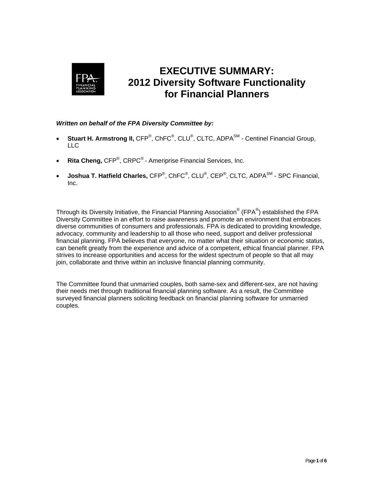

# **EXECUTIVE SUMMARY: 2012 Diversity Software Functionality for Financial Planners**

## *Written on behalf of the FPA Diversity Committee by:*

- **Stuart H. Armstrong II, CFP**®, ChFC<sup>®</sup>, CLU®, CLTC, ADPA<sup>SM</sup> Centinel Financial Group, LLC
- **Rita Cheng, CFP<sup>®</sup>, CRPC<sup>®</sup> Ameriprise Financial Services, Inc.**
- Joshua T. Hatfield Charles, CFP<sup>®</sup>, ChFC<sup>®</sup>, CLU<sup>®</sup>, CEP<sup>®</sup>, CLTC, ADPA<sup>SM</sup> SPC Financial, Inc.

Through its Diversity Initiative, the Financial Planning Association® (FPA®) established the FPA Diversity Committee in an effort to raise awareness and promote an environment that embraces diverse communities of consumers and professionals. FPA is dedicated to providing knowledge, advocacy, community and leadership to all those who need, support and deliver professional financial planning. FPA believes that everyone, no matter what their situation or economic status, can benefit greatly from the experience and advice of a competent, ethical financial planner. FPA strives to increase opportunities and access for the widest spectrum of people so that all may join, collaborate and thrive within an inclusive financial planning community.

The Committee found that unmarried couples, both same-sex and different-sex, are not having their needs met through traditional financial planning software. As a result, the Committee surveyed financial planners soliciting feedback on financial planning software for unmarried couples.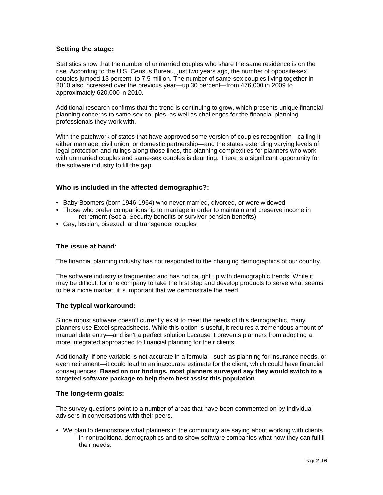## **Setting the stage:**

Statistics show that the number of unmarried couples who share the same residence is on the rise. According to the U.S. Census Bureau, just two years ago, the number of opposite-sex couples jumped 13 percent, to 7.5 million. The number of same-sex couples living together in 2010 also increased over the previous year—up 30 percent—from 476,000 in 2009 to approximately 620,000 in 2010.

Additional research confirms that the trend is continuing to grow, which presents unique financial planning concerns to same-sex couples, as well as challenges for the financial planning professionals they work with.

With the patchwork of states that have approved some version of couples recognition—calling it either marriage, civil union, or domestic partnership—and the states extending varying levels of legal protection and rulings along those lines, the planning complexities for planners who work with unmarried couples and same-sex couples is daunting. There is a significant opportunity for the software industry to fill the gap.

## **Who is included in the affected demographic?:**

- Baby Boomers (born 1946-1964) who never married, divorced, or were widowed
- Those who prefer companionship to marriage in order to maintain and preserve income in retirement (Social Security benefits or survivor pension benefits)
- Gay, lesbian, bisexual, and transgender couples

### **The issue at hand:**

The financial planning industry has not responded to the changing demographics of our country.

The software industry is fragmented and has not caught up with demographic trends. While it may be difficult for one company to take the first step and develop products to serve what seems to be a niche market, it is important that we demonstrate the need.

## **The typical workaround:**

Since robust software doesn't currently exist to meet the needs of this demographic, many planners use Excel spreadsheets. While this option is useful, it requires a tremendous amount of manual data entry—and isn't a perfect solution because it prevents planners from adopting a more integrated approached to financial planning for their clients.

Additionally, if one variable is not accurate in a formula—such as planning for insurance needs, or even retirement—it could lead to an inaccurate estimate for the client, which could have financial consequences. **Based on our findings, most planners surveyed say they would switch to a targeted software package to help them best assist this population.**

#### **The long-term goals:**

The survey questions point to a number of areas that have been commented on by individual advisers in conversations with their peers.

• We plan to demonstrate what planners in the community are saying about working with clients in nontraditional demographics and to show software companies what how they can fulfill their needs.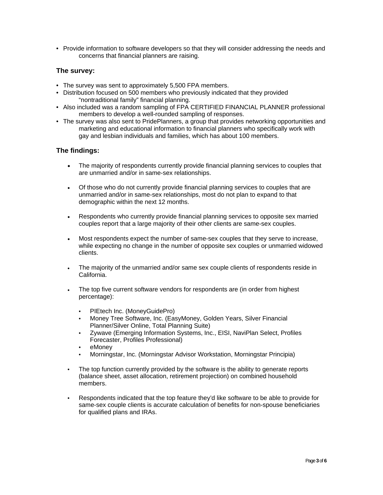• Provide information to software developers so that they will consider addressing the needs and concerns that financial planners are raising.

## **The survey:**

- The survey was sent to approximately 5,500 FPA members.
- Distribution focused on 500 members who previously indicated that they provided "nontraditional family" financial planning.
- Also included was a random sampling of FPA CERTIFIED FINANCIAL PLANNER professional members to develop a well-rounded sampling of responses.
- The survey was also sent to PridePlanners, a group that provides networking opportunities and marketing and educational information to financial planners who specifically work with gay and lesbian individuals and families, which has about 100 members.

## **The findings:**

- The majority of respondents currently provide financial planning services to couples that are unmarried and/or in same-sex relationships.
- Of those who do not currently provide financial planning services to couples that are unmarried and/or in same-sex relationships, most do not plan to expand to that demographic within the next 12 months.
- Respondents who currently provide financial planning services to opposite sex married couples report that a large majority of their other clients are same-sex couples.
- Most respondents expect the number of same-sex couples that they serve to increase, while expecting no change in the number of opposite sex couples or unmarried widowed clients.
- The majority of the unmarried and/or same sex couple clients of respondents reside in California.
- The top five current software vendors for respondents are (in order from highest percentage):
	- PIEtech Inc. (MoneyGuidePro)
	- Money Tree Software, Inc. (EasyMoney, Golden Years, Silver Financial Planner/Silver Online, Total Planning Suite)
	- Zywave (Emerging Information Systems, Inc., EISI, NaviPlan Select, Profiles Forecaster, Profiles Professional)
	- eMoney
	- Morningstar, Inc. (Morningstar Advisor Workstation, Morningstar Principia)
- The top function currently provided by the software is the ability to generate reports (balance sheet, asset allocation, retirement projection) on combined household members.
- Respondents indicated that the top feature they'd like software to be able to provide for same-sex couple clients is accurate calculation of benefits for non-spouse beneficiaries for qualified plans and IRAs.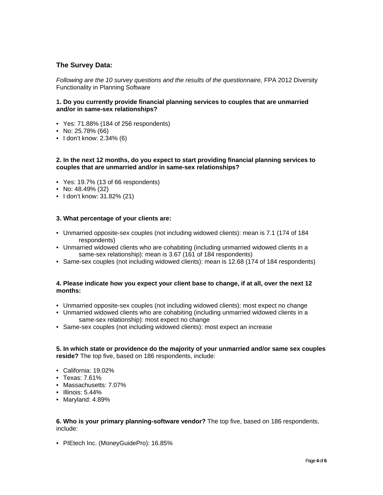## **The Survey Data:**

*Following are the 10 survey questions and the results of the questionnaire,* FPA 2012 Diversity Functionality in Planning Software

#### **1. Do you currently provide financial planning services to couples that are unmarried and/or in same-sex relationships?**

- Yes: 71.88% (184 of 256 respondents)
- No: 25.78% (66)
- I don't know: 2.34% (6)

#### **2. In the next 12 months, do you expect to start providing financial planning services to couples that are unmarried and/or in same-sex relationships?**

- Yes: 19.7% (13 of 66 respondents)
- No: 48.49% (32)
- I don't know: 31.82% (21)

#### **3. What percentage of your clients are:**

- Unmarried opposite-sex couples (not including widowed clients): mean is 7.1 (174 of 184 respondents)
- Unmarried widowed clients who are cohabiting (including unmarried widowed clients in a same-sex relationship): mean is 3.67 (161 of 184 respondents)
- Same-sex couples (not including widowed clients): mean is 12.68 (174 of 184 respondents)

#### **4. Please indicate how you expect your client base to change, if at all, over the next 12 months:**

- Unmarried opposite-sex couples (not including widowed clients): most expect no change
- Unmarried widowed clients who are cohabiting (including unmarried widowed clients in a same-sex relationship): most expect no change
- Same-sex couples (not including widowed clients): most expect an increase

#### **5. In which state or providence do the majority of your unmarried and/or same sex couples reside?** The top five, based on 186 respondents, include:

- California: 19.02%
- Texas: 7.61%
- Massachusetts: 7.07%
- Illinois: 5.44%
- Maryland: 4.89%

#### **6. Who is your primary planning-software vendor?** The top five, based on 186 respondents, include:

• PIEtech Inc. (MoneyGuidePro): 16.85%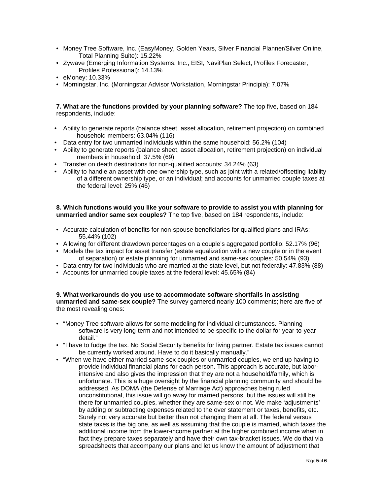- Money Tree Software, Inc. (EasyMoney, Golden Years, Silver Financial Planner/Silver Online, Total Planning Suite): 15.22%
- Zywave (Emerging Information Systems, Inc., EISI, NaviPlan Select, Profiles Forecaster, Profiles Professional): 14.13%
- eMoney: 10.33%
- Morningstar, Inc. (Morningstar Advisor Workstation, Morningstar Principia): 7.07%

**7. What are the functions provided by your planning software?** The top five, based on 184 respondents, include:

- Ability to generate reports (balance sheet, asset allocation, retirement projection) on combined household members: 63.04% (116)
- Data entry for two unmarried individuals within the same household: 56.2% (104)
- Ability to generate reports (balance sheet, asset allocation, retirement projection) on individual members in household: 37.5% (69)
- Transfer on death destinations for non-qualified accounts: 34.24% (63)
- Ability to handle an asset with one ownership type, such as joint with a related/offsetting liability of a different ownership type, or an individual; and accounts for unmarried couple taxes at the federal level: 25% (46)

#### **8. Which functions would you like your software to provide to assist you with planning for unmarried and/or same sex couples?** The top five, based on 184 respondents, include:

- Accurate calculation of benefits for non-spouse beneficiaries for qualified plans and IRAs: 55.44% (102)
- Allowing for different drawdown percentages on a couple's aggregated portfolio: 52.17% (96)
- Models the tax impact for asset transfer (estate equalization with a new couple or in the event of separation) or estate planning for unmarried and same-sex couples: 50.54% (93)
- Data entry for two individuals who are married at the state level, but not federally: 47.83% (88)
- Accounts for unmarried couple taxes at the federal level: 45.65% (84)

**9. What workarounds do you use to accommodate software shortfalls in assisting unmarried and same-sex couple?** The survey garnered nearly 100 comments; here are five of the most revealing ones:

- "Money Tree software allows for some modeling for individual circumstances. Planning software is very long-term and not intended to be specific to the dollar for year-to-year detail."
- "I have to fudge the tax. No Social Security benefits for living partner. Estate tax issues cannot be currently worked around. Have to do it basically manually."
- "When we have either married same-sex couples or unmarried couples, we end up having to provide individual financial plans for each person. This approach is accurate, but laborintensive and also gives the impression that they are not a household/family, which is unfortunate. This is a huge oversight by the financial planning community and should be addressed. As DOMA (the Defense of Marriage Act) approaches being ruled unconstitutional, this issue will go away for married persons, but the issues will still be there for unmarried couples, whether they are same-sex or not. We make 'adjustments' by adding or subtracting expenses related to the over statement or taxes, benefits, etc. Surely not very accurate but better than not changing them at all. The federal versus state taxes is the big one, as well as assuming that the couple is married, which taxes the additional income from the lower-income partner at the higher combined income when in fact they prepare taxes separately and have their own tax-bracket issues. We do that via spreadsheets that accompany our plans and let us know the amount of adjustment that